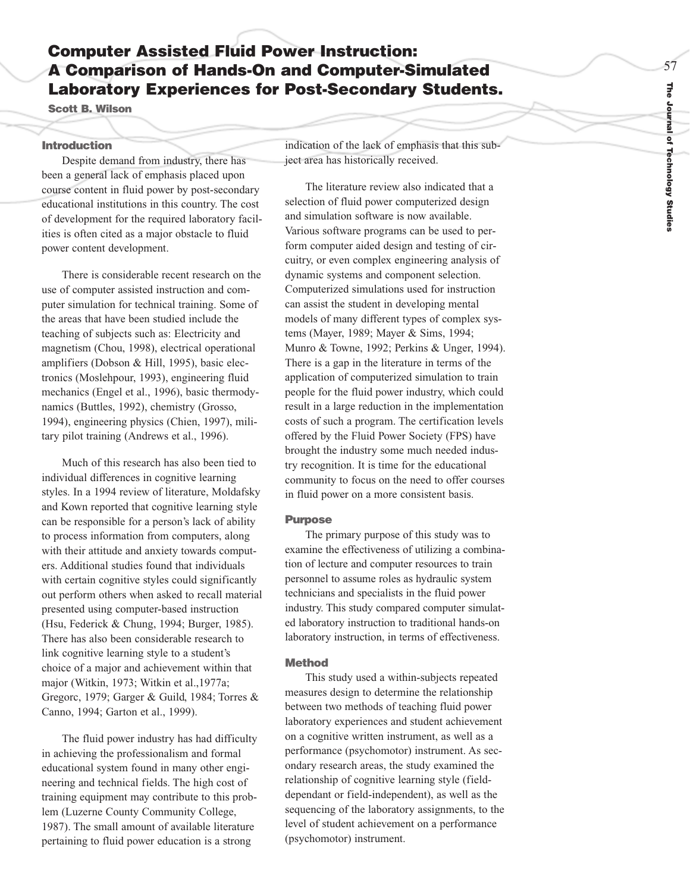# **Computer Assisted Fluid Power Instruction: A Comparison of Hands-On and Computer-Simulated Laboratory Experiences for Post-Secondary Students.**

**Scott B. Wilson**

#### **Introduction**

Despite demand from industry, there has been a general lack of emphasis placed upon course content in fluid power by post-secondary educational institutions in this country. The cost of development for the required laboratory facilities is often cited as a major obstacle to fluid power content development.

There is considerable recent research on the use of computer assisted instruction and computer simulation for technical training. Some of the areas that have been studied include the teaching of subjects such as: Electricity and magnetism (Chou, 1998), electrical operational amplifiers (Dobson & Hill, 1995), basic electronics (Moslehpour, 1993), engineering fluid mechanics (Engel et al., 1996), basic thermodynamics (Buttles, 1992), chemistry (Grosso, 1994), engineering physics (Chien, 1997), military pilot training (Andrews et al., 1996).

Much of this research has also been tied to individual differences in cognitive learning styles. In a 1994 review of literature, Moldafsky and Kown reported that cognitive learning style can be responsible for a person's lack of ability to process information from computers, along with their attitude and anxiety towards computers. Additional studies found that individuals with certain cognitive styles could significantly out perform others when asked to recall material presented using computer-based instruction (Hsu, Federick & Chung, 1994; Burger, 1985). There has also been considerable research to link cogniti ve learning style to a student's choice of a major and achievement within that major (Witkin, 1973; Witkin et al.,1977a; Gregorc, 1979; Garger & Guild, 1984; Torres & Canno, 1994; Garton et al., 1999).

The fluid po wer industry has had difficulty in achieving the professionalism and formal educational system found in many other engineering and technical fields. The high cost of training equipment may contribute to this problem (Luzerne County Community College, 1987). The small amount of available literature pertaining to fluid power education is a strong

indication of the lack of emphasis that this subject area has historically received.

The literature review also indicated that a selection of fluid power computerized design and simulation software is now available. Various software programs can be used to perform computer aided design and testing of circuitry, or even complex engineering analysis of dynamic systems and component selection. Computerized simulations used for instruction can assist the student in developing mental models of many different types of complex systems (Mayer, 1989; Mayer & Sims, 1994; Munro & Towne, 1992; Perkins & Unger, 1994). There is a gap in the literature in terms of the application of computerized simulation to train people for the fluid power industry, which could result in a large reduction in the implementation costs of such a pro gram. The certification levels offered by the Fluid Power Society (FPS) have brought the industry some much needed industry recognition. It is time for the educational community to focus on the need to offer courses in fluid po wer on a more consistent basis.

#### **Purpose**

The primary purpose of this study was to examine the effectiveness of utilizing a combination of lecture and computer resources to train personnel to assume roles as hydraulic system technicians and specialists in the fluid power industry. This study compared computer simulated laboratory instruction to traditional hands-on laboratory instruction, in terms of effectiveness.

## **Method**

This study used a within-subjects repeated measures design to determine the relationship between two methods of teaching fluid power laboratory experiences and student achievement on a cognitive written instrument, as well as a performance (psychomotor) instrument. As secondary research areas, the study examined the relationship of cognitive learning style (fielddependant or field-independent), as well as the sequencing of the laboratory assignments, to the level of student achievement on a performance (psychomotor) instrument.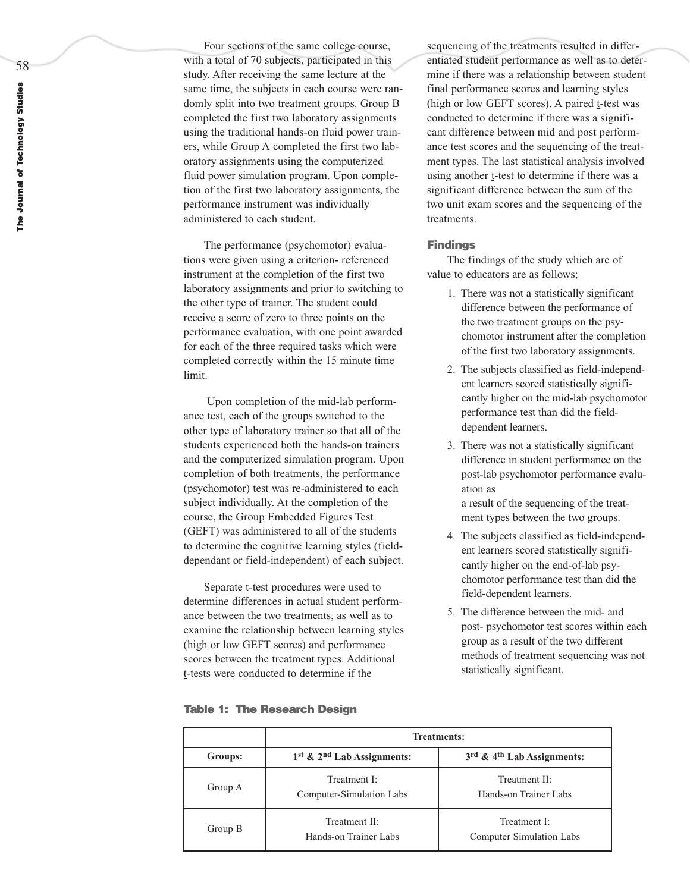58

Four sections of the same college course, with a total of 70 subjects, participated in this study. After receiving the same lecture at the same time, the subjects in each course were randomly split into two treatment groups. Group B completed the first two laboratory assignments using the traditional hands-on fluid power trainers, while Group A completed the first two laboratory assignments using the computerized fluid power simulation program. Upon completion of the first two laboratory assignments, the performance instrument was individually administered to each student.

The performance (psychomotor) evaluations were given using a criterion- referenced instrument at the completion of the first two laboratory assignments and prior to switching to the other type of trainer. The student could receive a score of zero to three points on the performance evaluation, with one point awarded for each of the three required tasks which were completed correctly within the 15 minute time limit.

Upon completion of the mid-lab performance test, each of the groups switched to the other type of laboratory trainer so that all of the students experienced both the hands-on trainers and the computerized simulation program. Upon completion of both treatments, the performance (psychomotor) test was re-administered to each subject individually. At the completion of the course, the Group Embedded Figures Test (GEFT) was administered to all of the students to determine the cognitive learning styles (fielddependant or field-independent) of each subject.

Separate t-test procedures were used to determine differences in actual student performance between the two treatments, as well as to examine the relationship between learning styles (high or low GEFT scores) and performance scores between the treatment types. Additional t-tests were conducted to determine if the

sequencing of the treatments resulted in differentiated student performance as well as to determine if there was a relationship between student final performance scores and learning styles (high or low GEFT scores). A paired t-test was conducted to determine if there was a significant difference between mid and post performance test scores and the sequencing of the treatment types. The last statistical analysis involved using another t-test to determine if there was a significant difference between the sum of the two unit exam scores and the sequencing of the treatments.

#### **Findings**

The findings of the study which are of value to educators are as follows;

- 1. There was not a statistically significant difference between the performance of the two treatment groups on the psychomotor instrument after the completion of the first two laboratory assignments.
- 2. The subjects classified as field-independent learners scored statistically significantly higher on the mid-lab psychomotor performance test than did the fielddependent learners.
- 3. There was not a statistically significant difference in student performance on the post-lab psychomotor performance evaluation as

a result of the sequencing of the treat ment types between the two groups.

- 4. The subjects classified as field-independent learners scored statistically significantly higher on the end-of-lab psychomotor performance test than did the field-dependent learners.
- 5. The difference between the mid- and post- psychomotor test scores within each group as a result of the two different methods of treatment sequencing was not statistically significant.

|  | <b>Treatments:</b> |                                          |                                          |
|--|--------------------|------------------------------------------|------------------------------------------|
|  | Groups:            | 1st & 2nd Lab Assignments:               | 3rd & 4th Lab Assignments:               |
|  | Group A            | Treatment I:<br>Computer-Simulation Labs | Treatment II:<br>Hands-on Trainer Labs   |
|  | Group B            | Treatment II:<br>Hands-on Trainer Labs   | Treatment I:<br>Computer Simulation Labs |

#### **Table 1: The Research Design**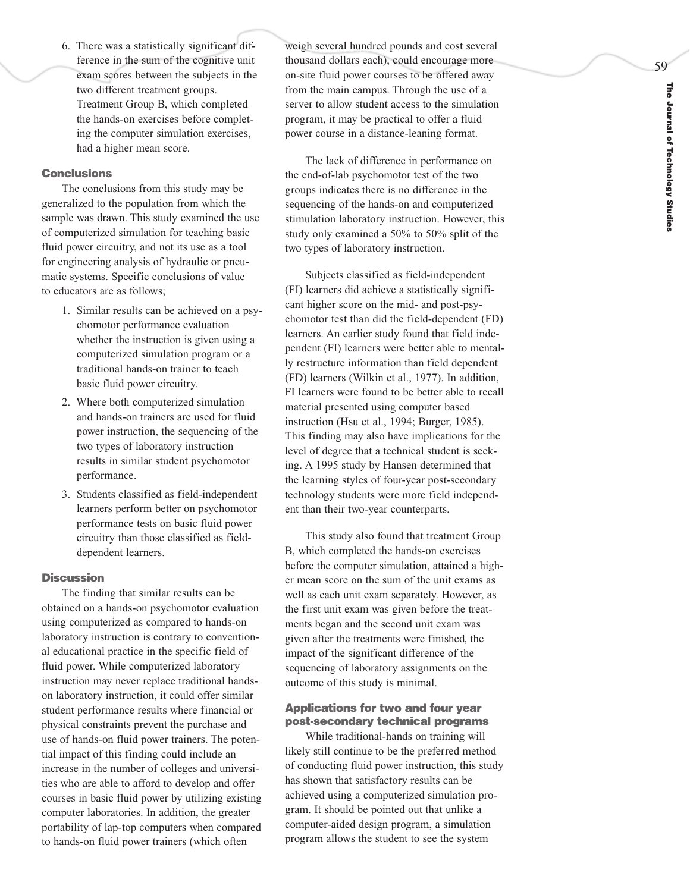59

6. There was a statistically significant difference in the sum of the cognitive unit exam scores between the subjects in the two different treatment groups. Treatment Group B, which completed the hands-on exercises before completing the computer simulation exercises, had a higher mean score.

# **Conclusions**

The conclusions from this study may be generalized to the population from which the sample was drawn. This study examined the use of computerized simulation for teaching basic fluid power circuitry, and not its use as a tool for engineering analysis of hydraulic or pneumatic systems. Specific conclusions of value to educators are as follows;

- 1. Similar results can be achieved on a psychomotor performance evaluation whether the instruction is given using a computerized simulation program or a traditional hands-on trainer to teach basic fluid power circuitry.
- 2. Where both computerized simulation and hands-on trainers are used for fluid power instruction, the sequencing of the two types of laboratory instruction results in similar student psychomotor performance.
- 3. Students classified as field-independent learners perform better on psychomotor performance tests on basic fluid power circuitry than those classified as fielddependent learners.

## **Discussion**

The finding that similar results can be obtained on a hands-on psychomotor evaluation using computerized as compared to hands-on laboratory instruction is contrary to conventional educational practice in the specific field of fluid power. While computerized laboratory instruction may ne ver replace traditional handson laboratory instruction, it could offer similar student performance results where financial or physical constraints prevent the purchase and use of hands-on fluid power trainers. The potential impact of this finding could include an increase in the number of colleges and universities who are able to afford to develop and offer courses in basic fluid power by utilizing existing computer laboratories. In addition, the greater portability of lap-top computers when compared to hands-on fluid po wer trainers (which often

weigh several hundred pounds and cost several thousand dollars each), could encourage more on-site fluid power courses to be offered away from the main campus. Through the use of a server to allow student access to the simulation program, it may be practical to offer a fluid power course in a distance-leaning format.

The lack of difference in performance on the end-of-lab psychomotor test of the two groups indicates there is no difference in the sequencing of the hands-on and computerized stimulation laboratory instruction. However, this study only examined a 50% to 50% split of the two types of laboratory instruction.

Subjects classified as field-independent (FI) learners did achieve a statistically significant higher score on the mid- and post-psychomotor test than did the field-dependent (FD) learners. An earlier study found that field independent (FI) learners were better able to mental ly restructure information than field dependent (FD) learners (Wilkin et al., 1977). In addition, FI learners were found to be better able to recall material presented using computer based instruction (Hsu et al., 1994; Burger, 1985). This finding may also have implications for the level of degree that a technical student is seeking. A 1995 study by Hansen determined that the learning styles of four-year post-secondary technology students were more field independent than their two-year counterparts.

This study also found that treatment Group B, which completed the hands-on exercises before the computer simulation, attained a higher mean score on the sum of the unit exams as well as each unit exam separately. However, as the first unit exam was given before the treatments began and the second unit exam was given after the treatments were finished, the impact of the significant difference of the sequencing of laboratory assignments on the outcome of this study is minimal.

### **Applications for two and four year post-secondary technical programs**

While traditional-hands on training will likely still continue to be the preferred method of conducting fluid po wer instruction, this study has shown that satisfactory results can be achieved using a computerized simulation program. It should be pointed out that unlike a computer-aided design program, a simulation program allows the student to see the system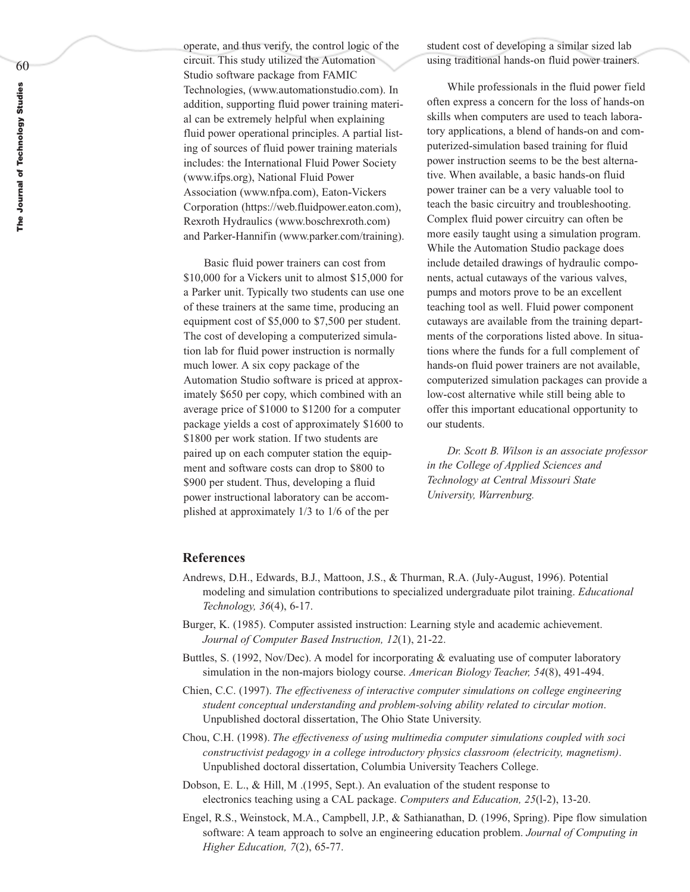operate, and thus verify, the control logic of the circuit. This study utilized the Automation Studio software package from FAMIC Technologies, (www.automationstudio.com). In addition, supporting fluid power training material can be extremely helpful when explaining fluid power operational principles. A partial listing of sources of fluid power training materials includes: the International Fluid Power Society (www.ifps.org), National Fluid Power Association (www.nfpa.com), Eaton-Vickers Corporation (https://web.fluidpower.eaton.com), Rexroth Hydraulics (www.boschrexroth.com) and Parker-Hannifin (www.parker.com/training).

Basic fluid power trainers can cost from \$10,000 for a Vickers unit to almost \$15,000 for a Parker unit. Typically two students can use one of these trainers at the same time, producing an equipment cost of \$5,000 to \$7,500 per student. The cost of developing a computerized simulation lab for fluid power instruction is normally much lower. A six copy package of the Automation Studio software is priced at approximately \$650 per copy, which combined with an average price of \$1000 to \$1200 for a computer package yields a cost of approximately \$1600 to \$1800 per work station. If two students are paired up on each computer station the equipment and software costs can drop to \$800 to \$900 per student. Thus, developing a fluid power instructional laboratory can be accomplished at approximately 1/3 to 1/6 of the per

student cost of developing a similar sized lab using traditional hands-on fluid power trainers.

While professionals in the fluid power field often express a concern for the loss of hands-on skills when computers are used to teach laboratory applications, a blend of hands-on and computerized-simulation based training for fluid power instruction seems to be the best alternative. When available, a basic hands-on fluid power trainer can be a very valuable tool to teach the basic circuitry and troubleshooting. Complex fluid power circuitry can often be more easily taught using a simulation program. While the Automation Studio package does include detailed drawings of hydraulic components, actual cutaways of the various valves, pumps and motors prove to be an excellent teaching tool as well. Fluid power component cutaways are available from the training departments of the corporations listed above. In situations where the funds for a full complement of hands-on fluid power trainers are not available, computerized simulation packages can provide a low-cost alternative while still being able to offer this important educational opportunity to our students.

*Dr. Scott B. Wilson is an associate professor in the College of Applied Sciences and Technology at Central Missouri State University, Warrenburg.*

## **References**

- Andrews, D.H., Edwards, B.J., Mattoon, J.S., & Thurman, R.A. (July-August, 1996). Potential modeling and simulation contributions to specialized undergraduate pilot training. *Educational Technology, 36*(4), 6-17.
- Burger, K. (1985). Computer assisted instruction: Learning style and academic achievement. *Journal of Computer Based Instruction, 12*(1), 21-22.
- Buttles, S. (1992, Nov/Dec). A model for incorporating & evaluating use of computer laboratory simulation in the non-majors biology course. *American Biology Teacher, 54*(8), 491-494.
- Chien, C.C. (1997). *The effectiveness of interactive computer simulations on college engineering student conceptual understanding and problem-solving ability related to circular motion*. Unpublished doctoral dissertation, The Ohio State University.
- Chou, C.H. (1998). *The effectiveness of using multimedia computer simulations coupled with soci constructivist pedagogy in a college introductory physics classroom (electricity, magnetism)*. Unpublished doctoral dissertation, Columbia University Teachers College.
- Dobson, E. L., & Hill, M .(1995, Sept.). An evaluation of the student response to electronics teaching using a CAL package. *Computers and Education, 25*(l-2), 13-20.
- Engel, R.S., Weinstock, M.A., Campbell, J.P., & Sathianathan, D. (1996, Spring). Pipe flow simulation software: A team approach to solve an engineering education problem. *Journal of Computing in Higher Education, 7*(2), 65-77.

60